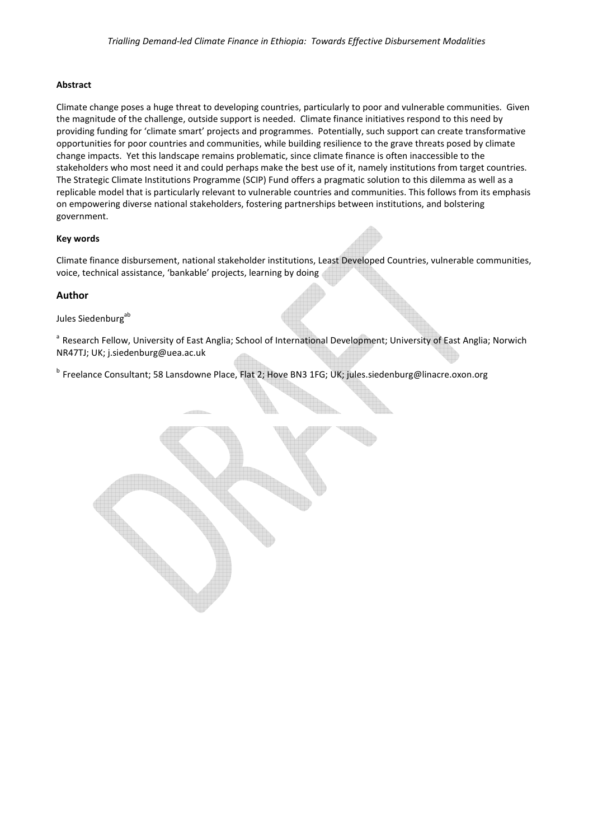# Abstract

Climate change poses a huge threat to developing countries, particularly to poor and vulnerable communities. Given the magnitude of the challenge, outside support is needed. Climate finance initiatives respond to this need by providing funding for 'climate smart' projects and programmes. Potentially, such support can create transformative opportunities for poor countries and communities, while building resilience to the grave threats posed by climate change impacts. Yet this landscape remains problematic, since climate finance is often inaccessible to the stakeholders who most need it and could perhaps make the best use of it, namely institutions from target countries. The Strategic Climate Institutions Programme (SCIP) Fund offers a pragmatic solution to this dilemma as well as a replicable model that is particularly relevant to vulnerable countries and communities. This follows from its emphasis on empowering diverse national stakeholders, fostering partnerships between institutions, and bolstering government.

### Key words

Climate finance disbursement, national stakeholder institutions, Least Developed Countries, vulnerable communities, voice, technical assistance, 'bankable' projects, learning by doing

### Author

Jules Siedenburg<sup>ab</sup>

<sup>a</sup> Research Fellow, University of East Anglia; School of International Development; University of East Anglia; Norwich NR47TJ; UK; j.siedenburg@uea.ac.uk

<sup>b</sup> Freelance Consultant; 58 Lansdowne Place, Flat 2; Hove BN3 1FG; UK; jules.siedenburg@linacre.oxon.org

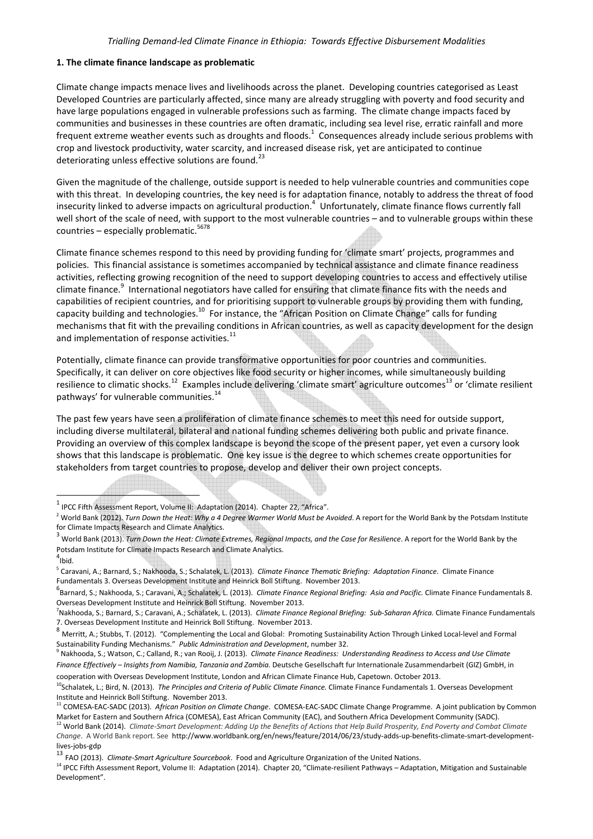#### 1. The climate finance landscape as problematic

Climate change impacts menace lives and livelihoods across the planet. Developing countries categorised as Least Developed Countries are particularly affected, since many are already struggling with poverty and food security and have large populations engaged in vulnerable professions such as farming. The climate change impacts faced by communities and businesses in these countries are often dramatic, including sea level rise, erratic rainfall and more frequent extreme weather events such as droughts and floods.<sup>1</sup> Consequences already include serious problems with crop and livestock productivity, water scarcity, and increased disease risk, yet are anticipated to continue deteriorating unless effective solutions are found.<sup>23</sup>

Given the magnitude of the challenge, outside support is needed to help vulnerable countries and communities cope with this threat. In developing countries, the key need is for adaptation finance, notably to address the threat of food insecurity linked to adverse impacts on agricultural production.<sup>4</sup> Unfortunately, climate finance flows currently fall well short of the scale of need, with support to the most vulnerable countries – and to vulnerable groups within these countries – especially problematic.<sup>5678</sup>

Climate finance schemes respond to this need by providing funding for 'climate smart' projects, programmes and policies. This financial assistance is sometimes accompanied by technical assistance and climate finance readiness activities, reflecting growing recognition of the need to support developing countries to access and effectively utilise climate finance.<sup>9</sup> International negotiators have called for ensuring that climate finance fits with the needs and capabilities of recipient countries, and for prioritising support to vulnerable groups by providing them with funding, capacity building and technologies.<sup>10</sup> For instance, the "African Position on Climate Change" calls for funding mechanisms that fit with the prevailing conditions in African countries, as well as capacity development for the design and implementation of response activities. $^{11}$ 

Potentially, climate finance can provide transformative opportunities for poor countries and communities. Specifically, it can deliver on core objectives like food security or higher incomes, while simultaneously building resilience to climatic shocks.<sup>12</sup> Examples include delivering 'climate smart' agriculture outcomes<sup>13</sup> or 'climate resilient pathways' for vulnerable communities. $^{14}$ 

The past few years have seen a proliferation of climate finance schemes to meet this need for outside support, including diverse multilateral, bilateral and national funding schemes delivering both public and private finance. Providing an overview of this complex landscape is beyond the scope of the present paper, yet even a cursory look shows that this landscape is problematic. One key issue is the degree to which schemes create opportunities for stakeholders from target countries to propose, develop and deliver their own project concepts.

 $\overline{\phantom{0}}$ 

 $<sup>1</sup>$  IPCC Fifth Assessment Report, Volume II: Adaptation (2014). Chapter 22, "Africa".</sup>

<sup>&</sup>lt;sup>2</sup> World Bank (2012). *Turn Down the Heat: Why a 4 Degree Warmer World Must be Avoided*. A report for the World Bank by the Potsdam Institute for Climate Impacts Research and Climate Analytics.

 $^3$  World Bank (2013). Turn Down the Heat: Climate Extremes, Regional Impacts, and the Case for Resilience. A report for the World Bank by the Potsdam Institute for Climate Impacts Research and Climate Analytics.

 $^{4}$ Ibid.

<sup>&</sup>lt;sup>5</sup> Caravani, A.; Barnard, S.; Nakhooda, S.; Schalatek, L. (2013). *Climate Finance Thematic Briefing: Adaptation Finance*. Climate Finance Fundamentals 3. Overseas Development Institute and Heinrick Boll Stiftung. November 2013.

<sup>&</sup>lt;sup>6</sup><br>Barnard, S.; Nakhooda, S.; Caravani, A.; Schalatek, L. (2013). *Climate Finance Regional Briefing: Asia and Pacific.* Climate Finance Fundamentals 8. Overseas Development Institute and Heinrick Boll Stiftung. November 2013.

<sup>&</sup>lt;sup>7</sup>Nakhooda, S.; Barnard, S.; Caravani, A.; Schalatek, L. (2013). *Climate Finance Regional Briefing: Sub-Saharan Africa*. Climate Finance Fundamentals 7. Overseas Development Institute and Heinrick Boll Stiftung. November 2013.

<sup>8</sup> Merritt, A.; Stubbs, T. (2012). "Complementing the Local and Global: Promoting Sustainability Action Through Linked Local-level and Formal Sustainability Funding Mechanisms." Public Administration and Development, number 32.

<sup>&</sup>lt;sup>9</sup> Nakhooda, S.; Watson, C.; Calland, R.; van Rooij, J. (2013). *Climate Finance Readiness: Understanding Readiness to Access and Use Climate* Finance Effectively - Insights from Namibia, Tanzania and Zambia. Deutsche Gesellschaft fur Internationale Zusammendarbeit (GIZ) GmbH, in cooperation with Overseas Development Institute, London and African Climate Finance Hub, Capetown. October 2013.

<sup>&</sup>lt;sup>10</sup>Schalatek, L.; Bird, N. (2013). The Principles and Criteria of Public Climate Finance. Climate Finance Fundamentals 1. Overseas Development Institute and Heinrick Boll Stiftung. November 2013.

<sup>&</sup>lt;sup>11</sup> COMESA-EAC-SADC (2013). African Position on Climate Change. COMESA-EAC-SADC Climate Change Programme. A joint publication by Common Market for Eastern and Southern Africa (COMESA), East African Community (EAC), and Southern Africa Development Community (SADC).

<sup>&</sup>lt;sup>12</sup> World Bank (2014). Climate-Smart Development: Adding Up the Benefits of Actions that Help Build Prosperity, End Poverty and Combat Climate Change. A World Bank report. See http://www.worldbank.org/en/news/feature/2014/06/23/study-adds-up-benefits-climate-smart-developmentlives-jobs-gdp

<sup>&</sup>lt;sup>13</sup> FAO (2013). Climate-Smart Agriculture Sourcebook. Food and Agriculture Organization of the United Nations.

<sup>&</sup>lt;sup>14</sup> IPCC Fifth Assessment Report, Volume II: Adaptation (2014). Chapter 20, "Climate-resilient Pathways – Adaptation, Mitigation and Sustainable Development".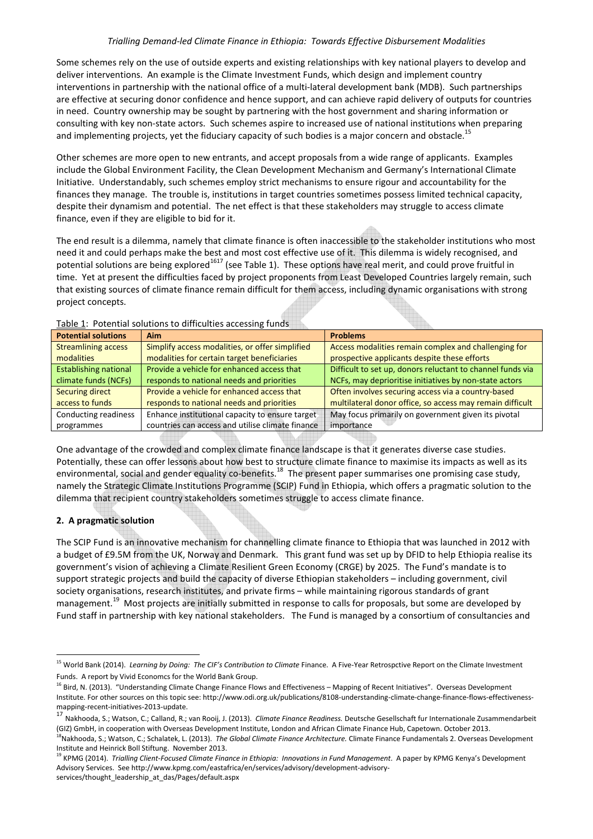Some schemes rely on the use of outside experts and existing relationships with key national players to develop and deliver interventions. An example is the Climate Investment Funds, which design and implement country interventions in partnership with the national office of a multi-lateral development bank (MDB). Such partnerships are effective at securing donor confidence and hence support, and can achieve rapid delivery of outputs for countries in need. Country ownership may be sought by partnering with the host government and sharing information or consulting with key non-state actors. Such schemes aspire to increased use of national institutions when preparing and implementing projects, yet the fiduciary capacity of such bodies is a major concern and obstacle.<sup>15</sup>

Other schemes are more open to new entrants, and accept proposals from a wide range of applicants. Examples include the Global Environment Facility, the Clean Development Mechanism and Germany's International Climate Initiative. Understandably, such schemes employ strict mechanisms to ensure rigour and accountability for the finances they manage. The trouble is, institutions in target countries sometimes possess limited technical capacity, despite their dynamism and potential. The net effect is that these stakeholders may struggle to access climate finance, even if they are eligible to bid for it.

The end result is a dilemma, namely that climate finance is often inaccessible to the stakeholder institutions who most need it and could perhaps make the best and most cost effective use of it. This dilemma is widely recognised, and potential solutions are being explored<sup>1617</sup> (see Table 1). These options have real merit, and could prove fruitful in time. Yet at present the difficulties faced by project proponents from Least Developed Countries largely remain, such that existing sources of climate finance remain difficult for them access, including dynamic organisations with strong project concepts.

| <b>Potential solutions</b>   | <b>Aim</b>                                       | <b>Problems</b>                                            |  |  |  |  |
|------------------------------|--------------------------------------------------|------------------------------------------------------------|--|--|--|--|
| <b>Streamlining access</b>   | Simplify access modalities, or offer simplified  | Access modalities remain complex and challenging for       |  |  |  |  |
| modalities                   | modalities for certain target beneficiaries      | prospective applicants despite these efforts               |  |  |  |  |
| <b>Establishing national</b> | Provide a vehicle for enhanced access that       | Difficult to set up, donors reluctant to channel funds via |  |  |  |  |
| climate funds (NCFs)         | responds to national needs and priorities        | NCFs, may deprioritise initiatives by non-state actors     |  |  |  |  |
| Securing direct              | Provide a vehicle for enhanced access that       | Often involves securing access via a country-based         |  |  |  |  |
| access to funds              | responds to national needs and priorities        | multilateral donor office, so access may remain difficult  |  |  |  |  |
| Conducting readiness         | Enhance institutional capacity to ensure target  | May focus primarily on government given its pivotal        |  |  |  |  |
| programmes                   | countries can access and utilise climate finance | importance                                                 |  |  |  |  |
|                              |                                                  |                                                            |  |  |  |  |

Table 1: Potential solutions to difficulties accessing funds

One advantage of the crowded and complex climate finance landscape is that it generates diverse case studies. Potentially, these can offer lessons about how best to structure climate finance to maximise its impacts as well as its environmental, social and gender equality co-benefits.<sup>18</sup> The present paper summarises one promising case study, namely the Strategic Climate Institutions Programme (SCIP) Fund in Ethiopia, which offers a pragmatic solution to the dilemma that recipient country stakeholders sometimes struggle to access climate finance.

vir (1999)

# 2. A pragmatic solution

l

The SCIP Fund is an innovative mechanism for channelling climate finance to Ethiopia that was launched in 2012 with a budget of £9.5M from the UK, Norway and Denmark. This grant fund was set up by DFID to help Ethiopia realise its government's vision of achieving a Climate Resilient Green Economy (CRGE) by 2025. The Fund's mandate is to support strategic projects and build the capacity of diverse Ethiopian stakeholders – including government, civil society organisations, research institutes, and private firms – while maintaining rigorous standards of grant management.<sup>19</sup> Most projects are initially submitted in response to calls for proposals, but some are developed by Fund staff in partnership with key national stakeholders. The Fund is managed by a consortium of consultancies and

<sup>&</sup>lt;sup>15</sup> World Bank (2014). Learning by Doing: The CIF's Contribution to Climate Finance. A Five-Year Retrospctive Report on the Climate Investment Funds. A report by Vivid Economcs for the World Bank Group.

<sup>&</sup>lt;sup>16</sup> Bird, N. (2013). "Understanding Climate Change Finance Flows and Effectiveness – Mapping of Recent Initiatives". Overseas Development Institute. For other sources on this topic see: http://www.odi.org.uk/publications/8108-understanding-climate-change-finance-flows-effectivenessmapping-recent-initiatives-2013-update.

<sup>17</sup> Nakhooda, S.; Watson, C.; Calland, R.; van Rooij, J. (2013). Climate Finance Readiness. Deutsche Gesellschaft fur Internationale Zusammendarbeit (GIZ) GmbH, in cooperation with Overseas Development Institute, London and African Climate Finance Hub, Capetown. October 2013.

<sup>&</sup>lt;sup>18</sup>Nakhooda, S.; Watson, C.; Schalatek, L. (2013). *The Global Climate Finance Architecture*. Climate Finance Fundamentals 2. Overseas Development Institute and Heinrick Boll Stiftung. November 2013.

<sup>&</sup>lt;sup>19</sup> KPMG (2014). Trialling Client-Focused Climate Finance in Ethiopia: Innovations in Fund Management. A paper by KPMG Kenya's Development Advisory Services. See http://www.kpmg.com/eastafrica/en/services/advisory/development-advisoryservices/thought\_leadership\_at\_das/Pages/default.aspx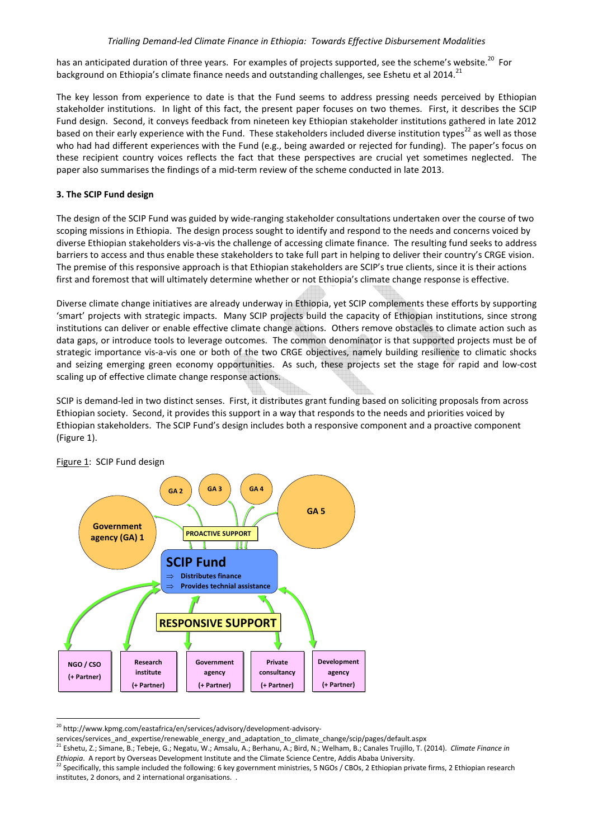has an anticipated duration of three years. For examples of projects supported, see the scheme's website.<sup>20</sup> For background on Ethiopia's climate finance needs and outstanding challenges, see Eshetu et al 2014.<sup>21</sup>

The key lesson from experience to date is that the Fund seems to address pressing needs perceived by Ethiopian stakeholder institutions. In light of this fact, the present paper focuses on two themes. First, it describes the SCIP Fund design. Second, it conveys feedback from nineteen key Ethiopian stakeholder institutions gathered in late 2012 based on their early experience with the Fund. These stakeholders included diverse institution types<sup>22</sup> as well as those who had had different experiences with the Fund (e.g., being awarded or rejected for funding). The paper's focus on these recipient country voices reflects the fact that these perspectives are crucial yet sometimes neglected. The paper also summarises the findings of a mid-term review of the scheme conducted in late 2013.

# 3. The SCIP Fund design

The design of the SCIP Fund was guided by wide-ranging stakeholder consultations undertaken over the course of two scoping missions in Ethiopia. The design process sought to identify and respond to the needs and concerns voiced by diverse Ethiopian stakeholders vis-a-vis the challenge of accessing climate finance. The resulting fund seeks to address barriers to access and thus enable these stakeholders to take full part in helping to deliver their country's CRGE vision. The premise of this responsive approach is that Ethiopian stakeholders are SCIP's true clients, since it is their actions first and foremost that will ultimately determine whether or not Ethiopia's climate change response is effective.

Diverse climate change initiatives are already underway in Ethiopia, yet SCIP complements these efforts by supporting 'smart' projects with strategic impacts. Many SCIP projects build the capacity of Ethiopian institutions, since strong institutions can deliver or enable effective climate change actions. Others remove obstacles to climate action such as data gaps, or introduce tools to leverage outcomes. The common denominator is that supported projects must be of strategic importance vis-a-vis one or both of the two CRGE objectives, namely building resilience to climatic shocks and seizing emerging green economy opportunities. As such, these projects set the stage for rapid and low-cost scaling up of effective climate change response actions.

SCIP is demand-led in two distinct senses. First, it distributes grant funding based on soliciting proposals from across Ethiopian society. Second, it provides this support in a way that responds to the needs and priorities voiced by Ethiopian stakeholders. The SCIP Fund's design includes both a responsive component and a proactive component (Figure 1).



Figure 1: SCIP Fund design

 $\overline{a}$ 

<sup>20</sup> http://www.kpmg.com/eastafrica/en/services/advisory/development-advisory-

services/services and expertise/renewable energy and adaptation to climate change/scip/pages/default.aspx

<sup>&</sup>lt;sup>21</sup> Eshetu, Z.; Simane, B.; Tebeje, G.; Negatu, W.; Amsalu, A.; Berhanu, A.; Bird, N.; Welham, B.; Canales Trujillo, T. (2014). *Climate Finance in* Ethiopia. A report by Overseas Development Institute and the Climate Science Centre, Addis Ababa University.

<sup>&</sup>lt;sup>22</sup> Specifically, this sample included the following: 6 key government ministries, 5 NGOs / CBOs, 2 Ethiopian private firms, 2 Ethiopian research institutes, 2 donors, and 2 international organisations. .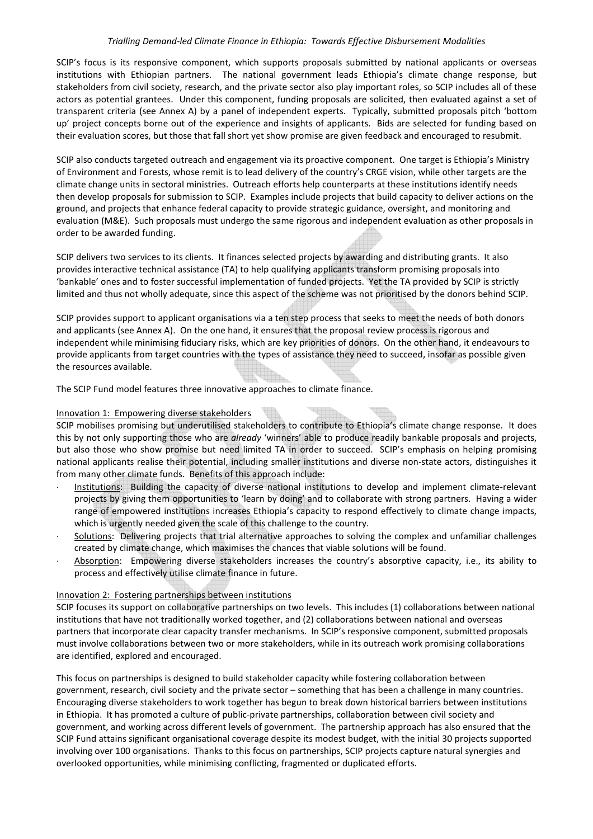SCIP's focus is its responsive component, which supports proposals submitted by national applicants or overseas institutions with Ethiopian partners. The national government leads Ethiopia's climate change response, but stakeholders from civil society, research, and the private sector also play important roles, so SCIP includes all of these actors as potential grantees. Under this component, funding proposals are solicited, then evaluated against a set of transparent criteria (see Annex A) by a panel of independent experts. Typically, submitted proposals pitch 'bottom up' project concepts borne out of the experience and insights of applicants. Bids are selected for funding based on their evaluation scores, but those that fall short yet show promise are given feedback and encouraged to resubmit.

SCIP also conducts targeted outreach and engagement via its proactive component. One target is Ethiopia's Ministry of Environment and Forests, whose remit is to lead delivery of the country's CRGE vision, while other targets are the climate change units in sectoral ministries. Outreach efforts help counterparts at these institutions identify needs then develop proposals for submission to SCIP. Examples include projects that build capacity to deliver actions on the ground, and projects that enhance federal capacity to provide strategic guidance, oversight, and monitoring and evaluation (M&E). Such proposals must undergo the same rigorous and independent evaluation as other proposals in order to be awarded funding.

SCIP delivers two services to its clients. It finances selected projects by awarding and distributing grants. It also provides interactive technical assistance (TA) to help qualifying applicants transform promising proposals into 'bankable' ones and to foster successful implementation of funded projects. Yet the TA provided by SCIP is strictly limited and thus not wholly adequate, since this aspect of the scheme was not prioritised by the donors behind SCIP.

SCIP provides support to applicant organisations via a ten step process that seeks to meet the needs of both donors and applicants (see Annex A). On the one hand, it ensures that the proposal review process is rigorous and independent while minimising fiduciary risks, which are key priorities of donors. On the other hand, it endeavours to provide applicants from target countries with the types of assistance they need to succeed, insofar as possible given the resources available.

The SCIP Fund model features three innovative approaches to climate finance.

### Innovation 1: Empowering diverse stakeholders

SCIP mobilises promising but underutilised stakeholders to contribute to Ethiopia's climate change response. It does this by not only supporting those who are already 'winners' able to produce readily bankable proposals and projects, but also those who show promise but need limited TA in order to succeed. SCIP's emphasis on helping promising national applicants realise their potential, including smaller institutions and diverse non-state actors, distinguishes it from many other climate funds. Benefits of this approach include:

- Institutions: Building the capacity of diverse national institutions to develop and implement climate-relevant projects by giving them opportunities to 'learn by doing' and to collaborate with strong partners. Having a wider range of empowered institutions increases Ethiopia's capacity to respond effectively to climate change impacts, which is urgently needed given the scale of this challenge to the country.
- Solutions: Delivering projects that trial alternative approaches to solving the complex and unfamiliar challenges created by climate change, which maximises the chances that viable solutions will be found.
- Absorption: Empowering diverse stakeholders increases the country's absorptive capacity, i.e., its ability to process and effectively utilise climate finance in future.

# Innovation 2: Fostering partnerships between institutions

SCIP focuses its support on collaborative partnerships on two levels. This includes (1) collaborations between national institutions that have not traditionally worked together, and (2) collaborations between national and overseas partners that incorporate clear capacity transfer mechanisms. In SCIP's responsive component, submitted proposals must involve collaborations between two or more stakeholders, while in its outreach work promising collaborations are identified, explored and encouraged.

This focus on partnerships is designed to build stakeholder capacity while fostering collaboration between government, research, civil society and the private sector – something that has been a challenge in many countries. Encouraging diverse stakeholders to work together has begun to break down historical barriers between institutions in Ethiopia. It has promoted a culture of public-private partnerships, collaboration between civil society and government, and working across different levels of government. The partnership approach has also ensured that the SCIP Fund attains significant organisational coverage despite its modest budget, with the initial 30 projects supported involving over 100 organisations. Thanks to this focus on partnerships, SCIP projects capture natural synergies and overlooked opportunities, while minimising conflicting, fragmented or duplicated efforts.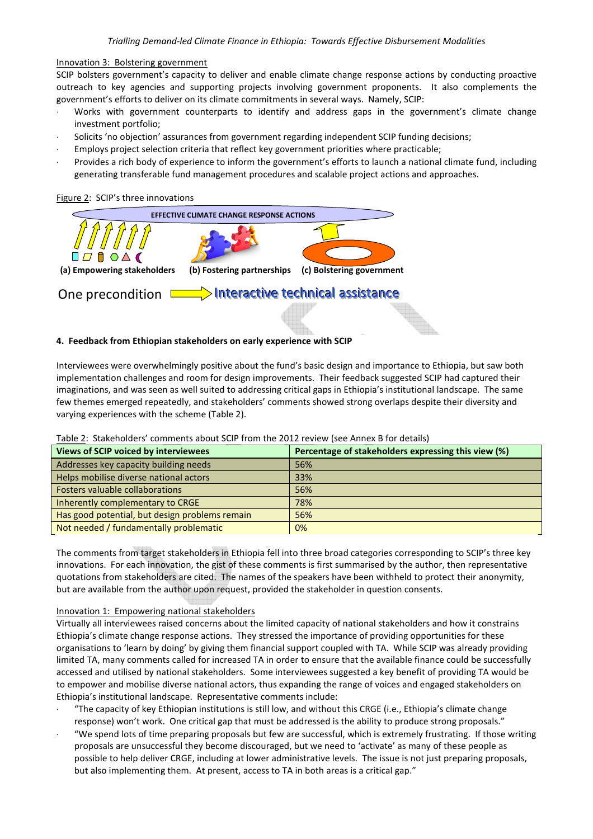# Innovation 3: Bolstering government

SCIP bolsters government's capacity to deliver and enable climate change response actions by conducting proactive outreach to key agencies and supporting projects involving government proponents. It also complements the government's efforts to deliver on its climate commitments in several ways. Namely, SCIP:

- Works with government counterparts to identify and address gaps in the government's climate change investment portfolio;
- Solicits 'no objection' assurances from government regarding independent SCIP funding decisions;
- Employs project selection criteria that reflect key government priorities where practicable;
- Provides a rich body of experience to inform the government's efforts to launch a national climate fund, including generating transferable fund management procedures and scalable project actions and approaches.

Figure 2: SCIP's three innovations



### 4. Feedback from Ethiopian stakeholders on early experience with SCIP

Interviewees were overwhelmingly positive about the fund's basic design and importance to Ethiopia, but saw both implementation challenges and room for design improvements. Their feedback suggested SCIP had captured their imaginations, and was seen as well suited to addressing critical gaps in Ethiopia's institutional landscape. The same few themes emerged repeatedly, and stakeholders' comments showed strong overlaps despite their diversity and varying experiences with the scheme (Table 2).

| <b>Views of SCIP voiced by interviewees</b>    | Percentage of stakeholders expressing this view (%) |  |  |  |  |  |
|------------------------------------------------|-----------------------------------------------------|--|--|--|--|--|
| Addresses key capacity building needs          | 56%                                                 |  |  |  |  |  |
| Helps mobilise diverse national actors         | 33%                                                 |  |  |  |  |  |
| <b>Fosters valuable collaborations</b>         | 56%                                                 |  |  |  |  |  |
| Inherently complementary to CRGE               | 78%                                                 |  |  |  |  |  |
| Has good potential, but design problems remain | 56%                                                 |  |  |  |  |  |
| Not needed / fundamentally problematic         | 0%                                                  |  |  |  |  |  |

Table 2: Stakeholders' comments about SCIP from the 2012 review (see Annex B for details)

The comments from target stakeholders in Ethiopia fell into three broad categories corresponding to SCIP's three key innovations. For each innovation, the gist of these comments is first summarised by the author, then representative quotations from stakeholders are cited. The names of the speakers have been withheld to protect their anonymity, but are available from the author upon request, provided the stakeholder in question consents.

# Innovation 1: Empowering national stakeholders

Virtually all interviewees raised concerns about the limited capacity of national stakeholders and how it constrains Ethiopia's climate change response actions. They stressed the importance of providing opportunities for these organisations to 'learn by doing' by giving them financial support coupled with TA. While SCIP was already providing limited TA, many comments called for increased TA in order to ensure that the available finance could be successfully accessed and utilised by national stakeholders. Some interviewees suggested a key benefit of providing TA would be to empower and mobilise diverse national actors, thus expanding the range of voices and engaged stakeholders on Ethiopia's institutional landscape. Representative comments include:

- ⋅ "The capacity of key Ethiopian institutions is still low, and without this CRGE (i.e., Ethiopia's climate change response) won't work. One critical gap that must be addressed is the ability to produce strong proposals."
- "We spend lots of time preparing proposals but few are successful, which is extremely frustrating. If those writing proposals are unsuccessful they become discouraged, but we need to 'activate' as many of these people as possible to help deliver CRGE, including at lower administrative levels. The issue is not just preparing proposals, but also implementing them. At present, access to TA in both areas is a critical gap."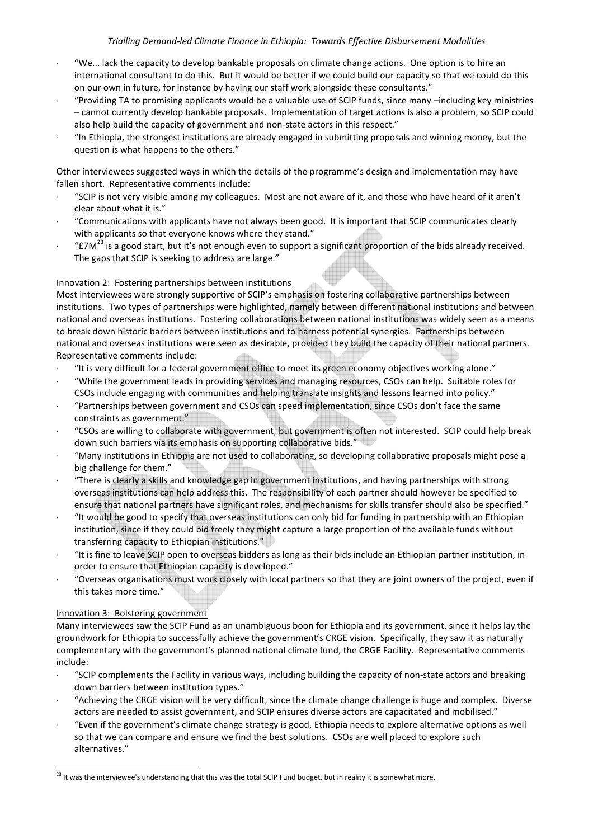- ⋅ "We... lack the capacity to develop bankable proposals on climate change actions. One option is to hire an international consultant to do this. But it would be better if we could build our capacity so that we could do this on our own in future, for instance by having our staff work alongside these consultants."
- ⋅ "Providing TA to promising applicants would be a valuable use of SCIP funds, since many –including key ministries – cannot currently develop bankable proposals. Implementation of target actions is also a problem, so SCIP could also help build the capacity of government and non-state actors in this respect."
- ⋅ "In Ethiopia, the strongest institutions are already engaged in submitting proposals and winning money, but the question is what happens to the others."

Other interviewees suggested ways in which the details of the programme's design and implementation may have fallen short. Representative comments include:

- ⋅ "SCIP is not very visible among my colleagues. Most are not aware of it, and those who have heard of it aren't clear about what it is."
- ⋅ "Communications with applicants have not always been good. It is important that SCIP communicates clearly with applicants so that everyone knows where they stand."
- " $E7M<sup>23</sup>$  is a good start, but it's not enough even to support a significant proportion of the bids already received. The gaps that SCIP is seeking to address are large."

# Innovation 2: Fostering partnerships between institutions

Most interviewees were strongly supportive of SCIP's emphasis on fostering collaborative partnerships between institutions. Two types of partnerships were highlighted, namely between different national institutions and between national and overseas institutions. Fostering collaborations between national institutions was widely seen as a means to break down historic barriers between institutions and to harness potential synergies. Partnerships between national and overseas institutions were seen as desirable, provided they build the capacity of their national partners. Representative comments include:

- ⋅ "It is very difficult for a federal government office to meet its green economy objectives working alone."
- ⋅ "While the government leads in providing services and managing resources, CSOs can help. Suitable roles for CSOs include engaging with communities and helping translate insights and lessons learned into policy."
- ⋅ "Partnerships between government and CSOs can speed implementation, since CSOs don't face the same constraints as government."
- ⋅ "CSOs are willing to collaborate with government, but government is often not interested. SCIP could help break down such barriers via its emphasis on supporting collaborative bids."
- ⋅ "Many institutions in Ethiopia are not used to collaborating, so developing collaborative proposals might pose a big challenge for them."
- ⋅ "There is clearly a skills and knowledge gap in government institutions, and having partnerships with strong overseas institutions can help address this. The responsibility of each partner should however be specified to ensure that national partners have significant roles, and mechanisms for skills transfer should also be specified."
- ⋅ "It would be good to specify that overseas institutions can only bid for funding in partnership with an Ethiopian institution, since if they could bid freely they might capture a large proportion of the available funds without transferring capacity to Ethiopian institutions."
- ⋅ "It is fine to leave SCIP open to overseas bidders as long as their bids include an Ethiopian partner institution, in order to ensure that Ethiopian capacity is developed."
- ⋅ "Overseas organisations must work closely with local partners so that they are joint owners of the project, even if this takes more time."

# Innovation 3: Bolstering government

 $\overline{\phantom{0}}$ 

Many interviewees saw the SCIP Fund as an unambiguous boon for Ethiopia and its government, since it helps lay the groundwork for Ethiopia to successfully achieve the government's CRGE vision. Specifically, they saw it as naturally complementary with the government's planned national climate fund, the CRGE Facility. Representative comments include:

- ⋅ "SCIP complements the Facility in various ways, including building the capacity of non-state actors and breaking down barriers between institution types."
- ⋅ "Achieving the CRGE vision will be very difficult, since the climate change challenge is huge and complex. Diverse actors are needed to assist government, and SCIP ensures diverse actors are capacitated and mobilised."
- ⋅ "Even if the government's climate change strategy is good, Ethiopia needs to explore alternative options as well so that we can compare and ensure we find the best solutions. CSOs are well placed to explore such alternatives."

<sup>&</sup>lt;sup>23</sup> It was the interviewee's understanding that this was the total SCIP Fund budget, but in reality it is somewhat more.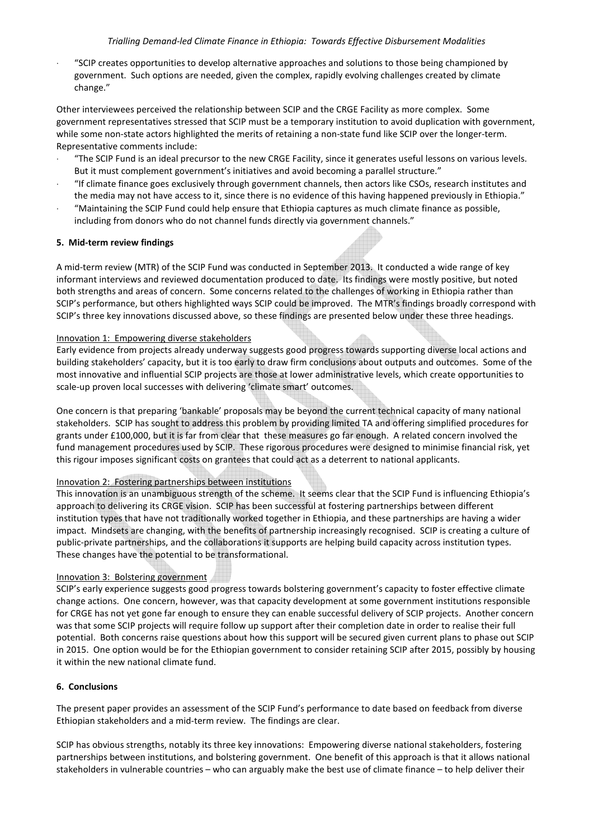⋅ "SCIP creates opportunities to develop alternative approaches and solutions to those being championed by government. Such options are needed, given the complex, rapidly evolving challenges created by climate change."

Other interviewees perceived the relationship between SCIP and the CRGE Facility as more complex. Some government representatives stressed that SCIP must be a temporary institution to avoid duplication with government, while some non-state actors highlighted the merits of retaining a non-state fund like SCIP over the longer-term. Representative comments include:

- ⋅ "The SCIP Fund is an ideal precursor to the new CRGE Facility, since it generates useful lessons on various levels. But it must complement government's initiatives and avoid becoming a parallel structure."
- ⋅ "If climate finance goes exclusively through government channels, then actors like CSOs, research institutes and the media may not have access to it, since there is no evidence of this having happened previously in Ethiopia."
- ⋅ "Maintaining the SCIP Fund could help ensure that Ethiopia captures as much climate finance as possible, including from donors who do not channel funds directly via government channels."

### 5. Mid-term review findings

A mid-term review (MTR) of the SCIP Fund was conducted in September 2013. It conducted a wide range of key informant interviews and reviewed documentation produced to date. Its findings were mostly positive, but noted both strengths and areas of concern. Some concerns related to the challenges of working in Ethiopia rather than SCIP's performance, but others highlighted ways SCIP could be improved. The MTR's findings broadly correspond with SCIP's three key innovations discussed above, so these findings are presented below under these three headings.

### Innovation 1: Empowering diverse stakeholders

Early evidence from projects already underway suggests good progress towards supporting diverse local actions and building stakeholders' capacity, but it is too early to draw firm conclusions about outputs and outcomes. Some of the most innovative and influential SCIP projects are those at lower administrative levels, which create opportunities to scale-up proven local successes with delivering 'climate smart' outcomes.

One concern is that preparing 'bankable' proposals may be beyond the current technical capacity of many national stakeholders. SCIP has sought to address this problem by providing limited TA and offering simplified procedures for grants under £100,000, but it is far from clear that these measures go far enough. A related concern involved the fund management procedures used by SCIP. These rigorous procedures were designed to minimise financial risk, yet this rigour imposes significant costs on grantees that could act as a deterrent to national applicants.

# Innovation 2: Fostering partnerships between institutions

This innovation is an unambiguous strength of the scheme. It seems clear that the SCIP Fund is influencing Ethiopia's approach to delivering its CRGE vision. SCIP has been successful at fostering partnerships between different institution types that have not traditionally worked together in Ethiopia, and these partnerships are having a wider impact. Mindsets are changing, with the benefits of partnership increasingly recognised. SCIP is creating a culture of public-private partnerships, and the collaborations it supports are helping build capacity across institution types. These changes have the potential to be transformational.

# Innovation 3: Bolstering government

SCIP's early experience suggests good progress towards bolstering government's capacity to foster effective climate change actions. One concern, however, was that capacity development at some government institutions responsible for CRGE has not yet gone far enough to ensure they can enable successful delivery of SCIP projects. Another concern was that some SCIP projects will require follow up support after their completion date in order to realise their full potential. Both concerns raise questions about how this support will be secured given current plans to phase out SCIP in 2015. One option would be for the Ethiopian government to consider retaining SCIP after 2015, possibly by housing it within the new national climate fund.

#### 6. Conclusions

The present paper provides an assessment of the SCIP Fund's performance to date based on feedback from diverse Ethiopian stakeholders and a mid-term review. The findings are clear.

SCIP has obvious strengths, notably its three key innovations: Empowering diverse national stakeholders, fostering partnerships between institutions, and bolstering government. One benefit of this approach is that it allows national stakeholders in vulnerable countries – who can arguably make the best use of climate finance – to help deliver their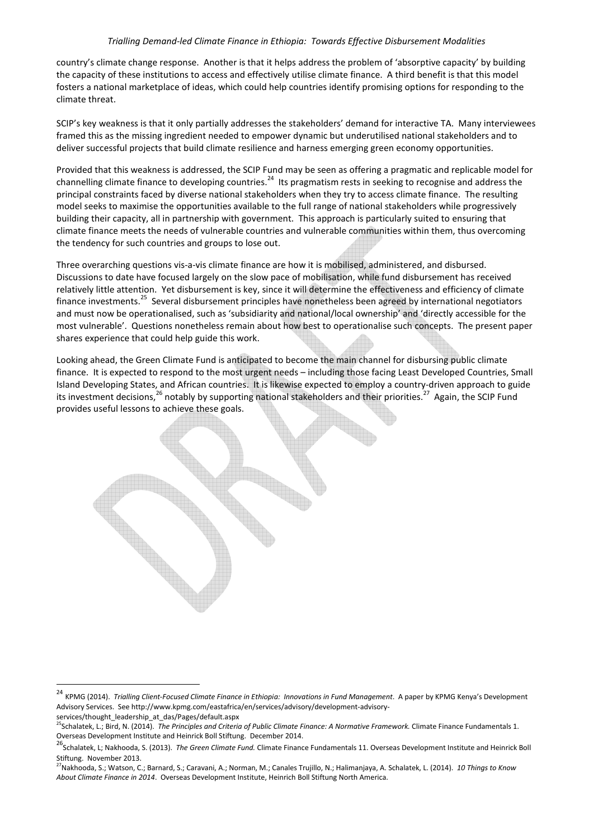country's climate change response. Another is that it helps address the problem of 'absorptive capacity' by building the capacity of these institutions to access and effectively utilise climate finance. A third benefit is that this model fosters a national marketplace of ideas, which could help countries identify promising options for responding to the climate threat.

SCIP's key weakness is that it only partially addresses the stakeholders' demand for interactive TA. Many interviewees framed this as the missing ingredient needed to empower dynamic but underutilised national stakeholders and to deliver successful projects that build climate resilience and harness emerging green economy opportunities.

Provided that this weakness is addressed, the SCIP Fund may be seen as offering a pragmatic and replicable model for channelling climate finance to developing countries.<sup>24</sup> Its pragmatism rests in seeking to recognise and address the principal constraints faced by diverse national stakeholders when they try to access climate finance. The resulting model seeks to maximise the opportunities available to the full range of national stakeholders while progressively building their capacity, all in partnership with government. This approach is particularly suited to ensuring that climate finance meets the needs of vulnerable countries and vulnerable communities within them, thus overcoming the tendency for such countries and groups to lose out.

Three overarching questions vis-a-vis climate finance are how it is mobilised, administered, and disbursed. Discussions to date have focused largely on the slow pace of mobilisation, while fund disbursement has received relatively little attention. Yet disbursement is key, since it will determine the effectiveness and efficiency of climate finance investments.<sup>25</sup> Several disbursement principles have nonetheless been agreed by international negotiators and must now be operationalised, such as 'subsidiarity and national/local ownership' and 'directly accessible for the most vulnerable'. Questions nonetheless remain about how best to operationalise such concepts. The present paper shares experience that could help guide this work.

Looking ahead, the Green Climate Fund is anticipated to become the main channel for disbursing public climate finance. It is expected to respond to the most urgent needs – including those facing Least Developed Countries, Small Island Developing States, and African countries. It is likewise expected to employ a country-driven approach to guide its investment decisions,<sup>26</sup> notably by supporting national stakeholders and their priorities.<sup>27</sup> Again, the SCIP Fund provides useful lessons to achieve these goals.

 $\overline{a}$ 

<sup>&</sup>lt;sup>24</sup> KPMG (2014). Trialling Client-Focused Climate Finance in Ethiopia: Innovations in Fund Management. A paper by KPMG Kenya's Development Advisory Services. See http://www.kpmg.com/eastafrica/en/services/advisory/development-advisoryservices/thought\_leadership\_at\_das/Pages/default.aspx

<sup>&</sup>lt;sup>25</sup>Schalatek, L.; Bird, N. (2014). The Principles and Criteria of Public Climate Finance: A Normative Framework. Climate Finance Fundamentals 1. Overseas Development Institute and Heinrick Boll Stiftung. December 2014.

<sup>&</sup>lt;sup>26</sup>Schalatek, L; Nakhooda, S. (2013). *The Green Climate Fund.* Climate Finance Fundamentals 11. Overseas Development Institute and Heinrick Boll Stiftung. November 2013.

<sup>&</sup>lt;sup>27</sup>Nakhooda, S.; Watson, C.; Barnard, S.; Caravani, A.; Norman, M.; Canales Trujillo, N.; Halimanjaya, A. Schalatek, L. (2014). 10 Things to Know About Climate Finance in 2014. Overseas Development Institute, Heinrich Boll Stiftung North America.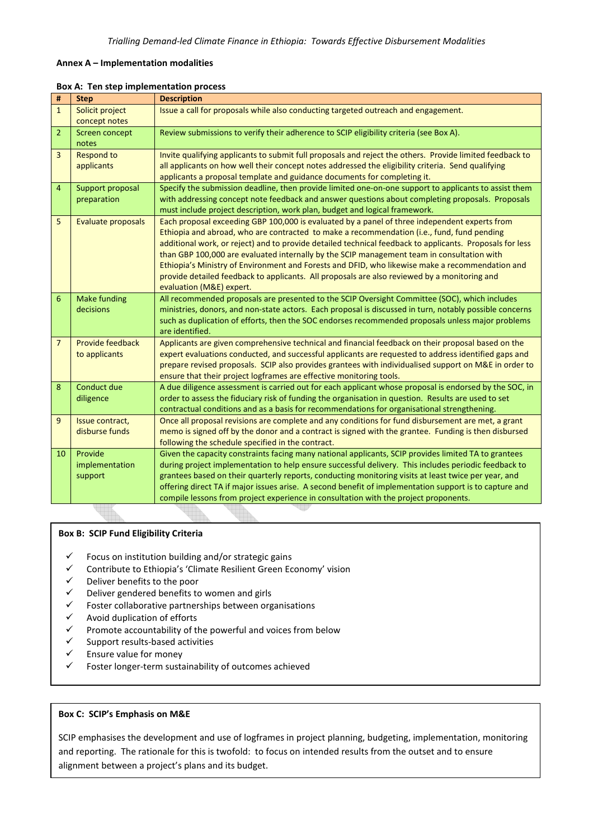### Annex A – Implementation modalities

#### Box A: Ten step implementation process

| #              | <b>Step</b>                      | <b>Description</b>                                                                                                        |  |  |
|----------------|----------------------------------|---------------------------------------------------------------------------------------------------------------------------|--|--|
| $\mathbf{1}$   | Solicit project                  | Issue a call for proposals while also conducting targeted outreach and engagement.                                        |  |  |
|                | concept notes                    |                                                                                                                           |  |  |
| $\overline{2}$ | Screen concept                   | Review submissions to verify their adherence to SCIP eligibility criteria (see Box A).                                    |  |  |
|                | notes                            |                                                                                                                           |  |  |
| 3              | <b>Respond to</b>                | Invite qualifying applicants to submit full proposals and reject the others. Provide limited feedback to                  |  |  |
|                | applicants                       | all applicants on how well their concept notes addressed the eligibility criteria. Send qualifying                        |  |  |
|                |                                  | applicants a proposal template and guidance documents for completing it.                                                  |  |  |
| 4              | Support proposal                 | Specify the submission deadline, then provide limited one-on-one support to applicants to assist them                     |  |  |
|                | preparation                      | with addressing concept note feedback and answer questions about completing proposals. Proposals                          |  |  |
|                |                                  | must include project description, work plan, budget and logical framework.                                                |  |  |
| 5              | Evaluate proposals               | Each proposal exceeding GBP 100,000 is evaluated by a panel of three independent experts from                             |  |  |
|                |                                  | Ethiopia and abroad, who are contracted to make a recommendation (i.e., fund, fund pending                                |  |  |
|                |                                  | additional work, or reject) and to provide detailed technical feedback to applicants. Proposals for less                  |  |  |
|                |                                  | than GBP 100,000 are evaluated internally by the SCIP management team in consultation with                                |  |  |
|                |                                  | Ethiopia's Ministry of Environment and Forests and DFID, who likewise make a recommendation and                           |  |  |
|                |                                  | provide detailed feedback to applicants. All proposals are also reviewed by a monitoring and                              |  |  |
| 6              |                                  | evaluation (M&E) expert.<br>All recommended proposals are presented to the SCIP Oversight Committee (SOC), which includes |  |  |
|                | <b>Make funding</b><br>decisions | ministries, donors, and non-state actors. Each proposal is discussed in turn, notably possible concerns                   |  |  |
|                |                                  | such as duplication of efforts, then the SOC endorses recommended proposals unless major problems                         |  |  |
|                |                                  | are identified.                                                                                                           |  |  |
| $\overline{7}$ | <b>Provide feedback</b>          | Applicants are given comprehensive technical and financial feedback on their proposal based on the                        |  |  |
|                | to applicants                    | expert evaluations conducted, and successful applicants are requested to address identified gaps and                      |  |  |
|                |                                  | prepare revised proposals. SCIP also provides grantees with individualised support on M&E in order to                     |  |  |
|                |                                  | ensure that their project logframes are effective monitoring tools.                                                       |  |  |
| 8              | Conduct due                      | A due diligence assessment is carried out for each applicant whose proposal is endorsed by the SOC, in                    |  |  |
|                | diligence                        | order to assess the fiduciary risk of funding the organisation in question. Results are used to set                       |  |  |
|                |                                  | contractual conditions and as a basis for recommendations for organisational strengthening.                               |  |  |
| 9              | Issue contract,                  | Once all proposal revisions are complete and any conditions for fund disbursement are met, a grant                        |  |  |
|                | disburse funds                   | memo is signed off by the donor and a contract is signed with the grantee. Funding is then disbursed                      |  |  |
|                |                                  | following the schedule specified in the contract.                                                                         |  |  |
| 10             | Provide                          | Given the capacity constraints facing many national applicants, SCIP provides limited TA to grantees                      |  |  |
|                | implementation                   | during project implementation to help ensure successful delivery. This includes periodic feedback to                      |  |  |
|                | support                          | grantees based on their quarterly reports, conducting monitoring visits at least twice per year, and                      |  |  |
|                |                                  | offering direct TA if major issues arise. A second benefit of implementation support is to capture and                    |  |  |
|                |                                  | compile lessons from project experience in consultation with the project proponents.                                      |  |  |
|                |                                  |                                                                                                                           |  |  |

### Box B: SCIP Fund Eligibility Criteria

- $\checkmark$  Focus on institution building and/or strategic gains
- Contribute to Ethiopia's 'Climate Resilient Green Economy' vision
- $\checkmark$  Deliver benefits to the poor
- $\checkmark$  Deliver gendered benefits to women and girls
- $\checkmark$  Foster collaborative partnerships between organisations
- $\checkmark$  Avoid duplication of efforts
- $\checkmark$  Promote accountability of the powerful and voices from below
- $\checkmark$  Support results-based activities
- $\checkmark$  Ensure value for monev
- $\checkmark$  Foster longer-term sustainability of outcomes achieved

# Box C: SCIP's Emphasis on M&E

SCIP emphasises the development and use of logframes in project planning, budgeting, implementation, monitoring and reporting. The rationale for this is twofold: to focus on intended results from the outset and to ensure alignment between a project's plans and its budget.